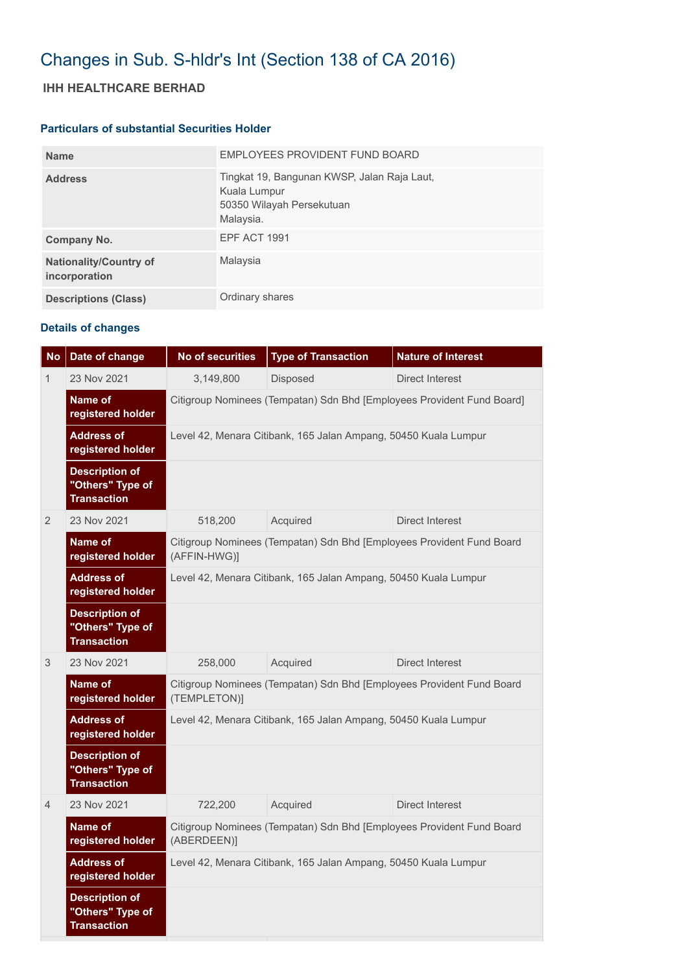# Changes in Sub. S-hldr's Int (Section 138 of CA 2016)

## **IHH HEALTHCARE BERHAD**

#### **Particulars of substantial Securities Holder**

| <b>Name</b>                                    | EMPLOYEES PROVIDENT FUND BOARD                                                                        |
|------------------------------------------------|-------------------------------------------------------------------------------------------------------|
| <b>Address</b>                                 | Tingkat 19, Bangunan KWSP, Jalan Raja Laut,<br>Kuala Lumpur<br>50350 Wilayah Persekutuan<br>Malaysia. |
| Company No.                                    | EPF ACT 1991                                                                                          |
| <b>Nationality/Country of</b><br>incorporation | Malaysia                                                                                              |
| <b>Descriptions (Class)</b>                    | Ordinary shares                                                                                       |

### **Details of changes**

| <b>No</b>      | Date of change                                                  | <b>No of securities</b>                                                               | <b>Type of Transaction</b> | <b>Nature of Interest</b> |  |  |  |
|----------------|-----------------------------------------------------------------|---------------------------------------------------------------------------------------|----------------------------|---------------------------|--|--|--|
| 1              | 23 Nov 2021                                                     | 3,149,800                                                                             | Disposed                   | Direct Interest           |  |  |  |
|                | Name of<br>registered holder                                    | Citigroup Nominees (Tempatan) Sdn Bhd [Employees Provident Fund Board]                |                            |                           |  |  |  |
|                | <b>Address of</b><br>registered holder                          | Level 42, Menara Citibank, 165 Jalan Ampang, 50450 Kuala Lumpur                       |                            |                           |  |  |  |
|                | <b>Description of</b><br>"Others" Type of<br><b>Transaction</b> |                                                                                       |                            |                           |  |  |  |
| $\overline{2}$ | 23 Nov 2021                                                     | 518,200                                                                               | Acquired                   | Direct Interest           |  |  |  |
|                | Name of<br>registered holder                                    | Citigroup Nominees (Tempatan) Sdn Bhd [Employees Provident Fund Board<br>(AFFIN-HWG)] |                            |                           |  |  |  |
|                | <b>Address of</b><br>registered holder                          | Level 42, Menara Citibank, 165 Jalan Ampang, 50450 Kuala Lumpur                       |                            |                           |  |  |  |
|                | <b>Description of</b><br>"Others" Type of<br><b>Transaction</b> |                                                                                       |                            |                           |  |  |  |
| 3              | 23 Nov 2021                                                     | 258,000                                                                               | Acquired                   | Direct Interest           |  |  |  |
|                | Name of<br>registered holder                                    | Citigroup Nominees (Tempatan) Sdn Bhd [Employees Provident Fund Board<br>(TEMPLETON)] |                            |                           |  |  |  |
|                | <b>Address of</b><br>registered holder                          | Level 42, Menara Citibank, 165 Jalan Ampang, 50450 Kuala Lumpur                       |                            |                           |  |  |  |
|                | <b>Description of</b><br>"Others" Type of<br><b>Transaction</b> |                                                                                       |                            |                           |  |  |  |
| $\overline{4}$ | 23 Nov 2021                                                     | 722,200                                                                               | Acquired                   | Direct Interest           |  |  |  |
|                | Name of<br>registered holder                                    | Citigroup Nominees (Tempatan) Sdn Bhd [Employees Provident Fund Board<br>(ABERDEEN)]  |                            |                           |  |  |  |
|                | <b>Address of</b><br>registered holder                          | Level 42, Menara Citibank, 165 Jalan Ampang, 50450 Kuala Lumpur                       |                            |                           |  |  |  |
|                | <b>Description of</b><br>"Others" Type of<br><b>Transaction</b> |                                                                                       |                            |                           |  |  |  |